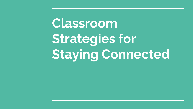**Classroom Strategies for Staying Connected**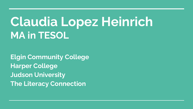# **Claudia Lopez Heinrich MA in TESOL**

**Elgin Community College Harper College Judson University The Literacy Connection**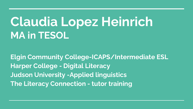# **Claudia Lopez Heinrich MA in TESOL**

**Elgin Community College-ICAPS/Intermediate ESL Harper College - Digital Literacy Judson University -Applied linguistics The Literacy Connection - tutor training**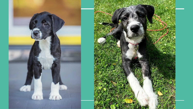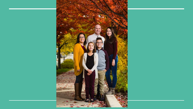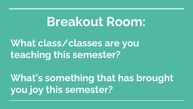## **Breakout Room:**

**What class/classes are you teaching this semester?**

**What's something that has brought you joy this semester?**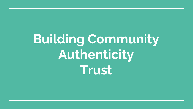# **Building Community Authenticity Trust**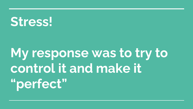# **Stress!**

**My response was to try to control it and make it "perfect"**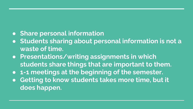#### ● **Share personal information**

- **Students sharing about personal information is not a waste of time.**
- **Presentations/writing assignments in which students share things that are important to them.**
- **1-1 meetings at the beginning of the semester.**
- **Getting to know students takes more time, but it does happen.**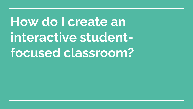# **How do I create an interactive studentfocused classroom?**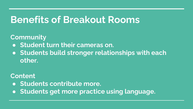### **Benefits of Breakout Rooms**

#### **Community**

- **Student turn their cameras on.**
- **Students build stronger relationships with each other.**

#### **Content**

- **Students contribute more.**
- **Students get more practice using language.**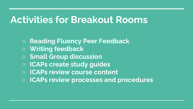### **Activities for Breakout Rooms**

- **Reading Fluency Peer Feedback**
- **Writing feedback**
- **Small Group discussion**
- **ICAPs create study guides**
- **ICAPs review course content**
- **ICAPs review processes and procedures**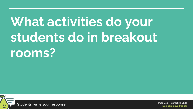# **What activities do your students do in breakout rooms?**



Students, write your response!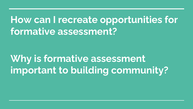### **How can I recreate opportunities for formative assessment?**

## **Why is formative assessment important to building community?**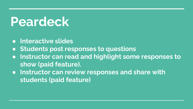# **Peardeck**

- **Interactive slides**
- **Students post responses to questions**
- **Instructor can read and highlight some responses to show (paid feature).**
- **Instructor can review responses and share with students (paid feature)**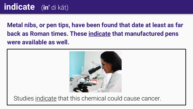**Metal nibs, or pen tips, have been found that date at least as far back as Roman times. These indicate that manufactured pens were available as well.**



Studies indicate that this chemical could cause cancer.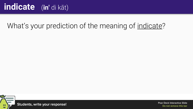### **indicate** (**in′** di kāt)

#### What's your prediction of the meaning of indicate?

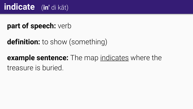### **indicate** (in' di kāt)

#### **part of speech:** verb

#### **definition:** to show (something)

#### **example sentence:** The map indicates where the treasure is buried.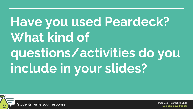# **Have you used Peardeck? What kind of questions/activities do you include in your slides?**



Students, write your response!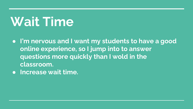# **Wait Time**

- **I'm nervous and I want my students to have a good online experience, so I jump into to answer questions more quickly than I wold in the classroom.**
- **Increase wait time.**